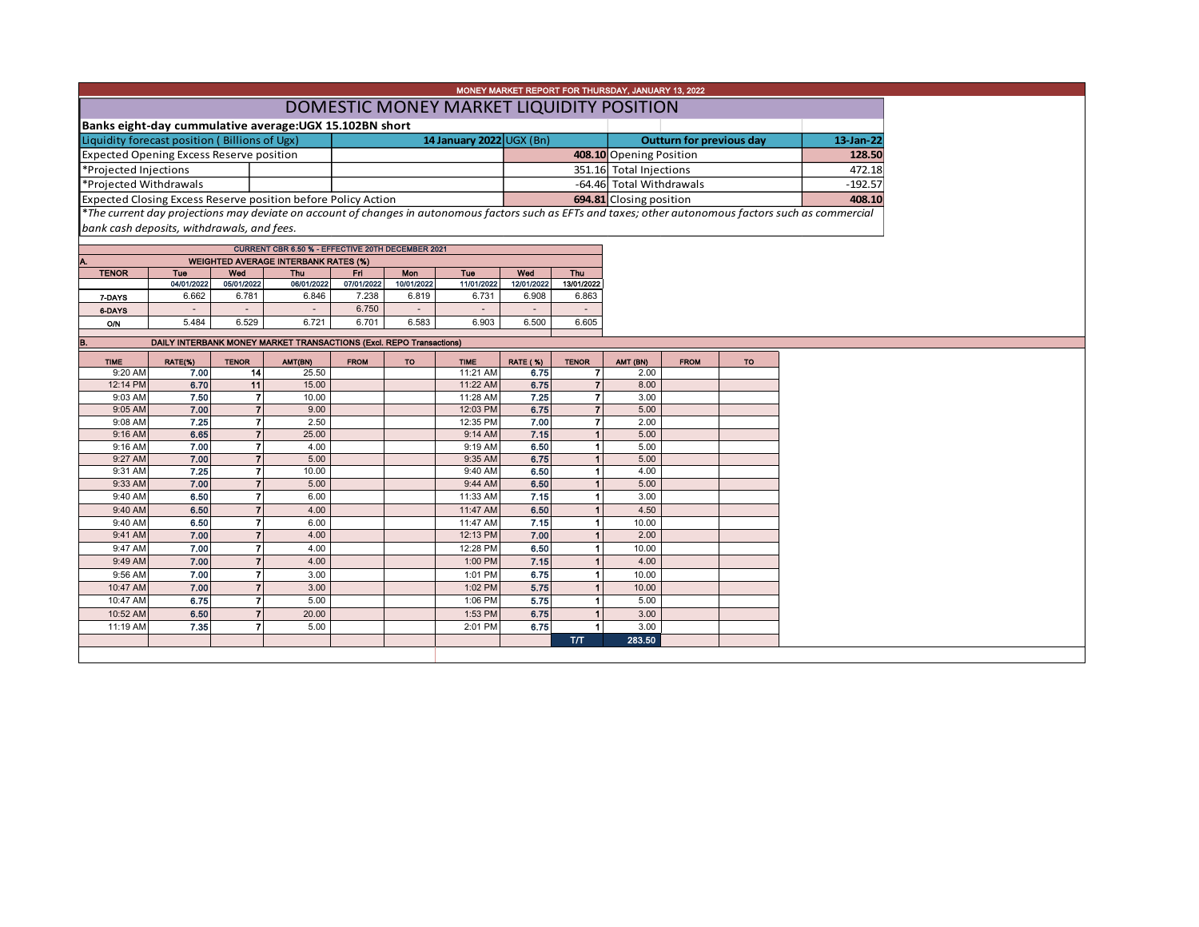| MONEY MARKET REPORT FOR THURSDAY, JANUARY 13, 2022                                                                                                                                                     |                                                                     |                |                                                                                                  |             |                |                          |                         |                                  |                                 |             |           |        |  |
|--------------------------------------------------------------------------------------------------------------------------------------------------------------------------------------------------------|---------------------------------------------------------------------|----------------|--------------------------------------------------------------------------------------------------|-------------|----------------|--------------------------|-------------------------|----------------------------------|---------------------------------|-------------|-----------|--------|--|
| DOMESTIC MONEY MARKET LIQUIDITY POSITION                                                                                                                                                               |                                                                     |                |                                                                                                  |             |                |                          |                         |                                  |                                 |             |           |        |  |
| Banks eight-day cummulative average: UGX 15.102BN short                                                                                                                                                |                                                                     |                |                                                                                                  |             |                |                          |                         |                                  |                                 |             |           |        |  |
| Liquidity forecast position (Billions of Ugx)                                                                                                                                                          |                                                                     |                |                                                                                                  |             |                | 14 January 2022 UGX (Bn) |                         |                                  | <b>Outturn for previous day</b> | 13-Jan-22   |           |        |  |
| <b>Expected Opening Excess Reserve position</b>                                                                                                                                                        |                                                                     |                |                                                                                                  |             |                |                          |                         |                                  | 408.10 Opening Position         |             |           | 128.50 |  |
| *Projected Injections                                                                                                                                                                                  |                                                                     |                |                                                                                                  |             |                |                          | 351.16 Total Injections |                                  | 472.18                          |             |           |        |  |
| *Projected Withdrawals                                                                                                                                                                                 |                                                                     |                |                                                                                                  |             |                |                          |                         | -64.46 Total Withdrawals         | $-192.57$                       |             |           |        |  |
| Expected Closing Excess Reserve position before Policy Action                                                                                                                                          |                                                                     |                |                                                                                                  |             |                |                          |                         |                                  | 694.81 Closing position         |             |           | 408.10 |  |
|                                                                                                                                                                                                        |                                                                     |                |                                                                                                  |             |                |                          |                         |                                  |                                 |             |           |        |  |
| *The current day projections may deviate on account of changes in autonomous factors such as EFTs and taxes; other autonomous factors such as commercial<br>bank cash deposits, withdrawals, and fees. |                                                                     |                |                                                                                                  |             |                |                          |                         |                                  |                                 |             |           |        |  |
|                                                                                                                                                                                                        |                                                                     |                |                                                                                                  |             |                |                          |                         |                                  |                                 |             |           |        |  |
|                                                                                                                                                                                                        |                                                                     |                | CURRENT CBR 6.50 % - EFFECTIVE 20TH DECEMBER 2021<br><b>WEIGHTED AVERAGE INTERBANK RATES (%)</b> |             |                |                          |                         |                                  |                                 |             |           |        |  |
| <b>TENOR</b>                                                                                                                                                                                           | Tue                                                                 | Wed            | <b>Thu</b>                                                                                       | Fri         | Mon            | <b>Tue</b>               | Wed                     | <b>Thu</b>                       |                                 |             |           |        |  |
|                                                                                                                                                                                                        | 04/01/2022                                                          | 05/01/2022     | 06/01/2022                                                                                       | 07/01/2022  | 10/01/2022     | 11/01/2022               | 12/01/2022              | 13/01/2022                       |                                 |             |           |        |  |
| 7-DAYS                                                                                                                                                                                                 | 6.662                                                               | 6.781          | 6.846                                                                                            | 7.238       | 6.819          | 6.731                    | 6.908                   | 6.863                            |                                 |             |           |        |  |
| 6-DAYS                                                                                                                                                                                                 | $\sim$                                                              | $\blacksquare$ |                                                                                                  | 6.750       | $\overline{a}$ | $\sim$                   | $\overline{a}$          | $\overline{\phantom{a}}$         |                                 |             |           |        |  |
| O/N                                                                                                                                                                                                    | 5.484                                                               | 6.529          | 6.721                                                                                            | 6.701       | 6.583          | 6.903                    | 6.500                   | 6.605                            |                                 |             |           |        |  |
|                                                                                                                                                                                                        | DAILY INTERBANK MONEY MARKET TRANSACTIONS (Excl. REPO Transactions) |                |                                                                                                  |             |                |                          |                         |                                  |                                 |             |           |        |  |
| <b>TIME</b>                                                                                                                                                                                            | RATE(%)                                                             | <b>TENOR</b>   | AMT(BN)                                                                                          | <b>FROM</b> | <b>TO</b>      | <b>TIME</b>              | <b>RATE (%)</b>         | <b>TENOR</b>                     | AMT (BN)                        | <b>FROM</b> | <b>TO</b> |        |  |
| 9:20 AM                                                                                                                                                                                                | 7.00                                                                | 14             | 25.50                                                                                            |             |                | 11:21 AM                 | 6.75                    | $\overline{7}$                   | 2.00                            |             |           |        |  |
| 12:14 PM                                                                                                                                                                                               | 6.70                                                                | 11             | 15.00                                                                                            |             |                | 11:22 AM                 | 6.75                    | $\overline{7}$                   | 8.00                            |             |           |        |  |
| 9:03 AM                                                                                                                                                                                                | 7.50                                                                |                | 7<br>10.00                                                                                       |             |                | 11:28 AM                 | 7.25                    | $\overline{7}$                   | 3.00                            |             |           |        |  |
| 9:05 AM                                                                                                                                                                                                | 7.00                                                                |                | $\overline{7}$<br>9.00                                                                           |             |                | 12:03 PM                 | 6.75                    | $\overline{7}$                   | 5.00                            |             |           |        |  |
| 9:08 AM                                                                                                                                                                                                | 7.25<br>6.65                                                        |                | 2.50<br>7                                                                                        |             |                | 12:35 PM                 | 7.00                    | $\overline{7}$<br>$\overline{1}$ | 2.00                            |             |           |        |  |
| 9:16 AM<br>9:16 AM                                                                                                                                                                                     | 7.00                                                                |                | $\overline{7}$<br>25.00<br>$\overline{7}$<br>4.00                                                |             |                | 9:14 AM<br>9:19 AM       | 7.15<br>6.50            | 1                                | 5.00<br>5.00                    |             |           |        |  |
| 9:27 AM                                                                                                                                                                                                | 7.00                                                                |                | $\overline{7}$<br>5.00                                                                           |             |                | 9:35 AM                  | 6.75                    | 1                                | 5.00                            |             |           |        |  |
| 9:31 AM                                                                                                                                                                                                | 7.25                                                                |                | $\overline{7}$<br>10.00                                                                          |             |                | 9:40 AM                  | 6.50                    | 1                                | 4.00                            |             |           |        |  |
| 9:33 AM                                                                                                                                                                                                | 7.00                                                                |                | $\overline{7}$<br>5.00                                                                           |             |                | 9:44 AM                  | 6.50                    | 1                                | 5.00                            |             |           |        |  |
| 9:40 AM                                                                                                                                                                                                | 6.50                                                                |                | $\overline{7}$<br>6.00                                                                           |             |                | 11:33 AM                 | 7.15                    | 1                                | 3.00                            |             |           |        |  |
| 9:40 AM                                                                                                                                                                                                | 6.50                                                                |                | $\overline{7}$<br>4.00                                                                           |             |                | 11:47 AM                 | 6.50                    | $\blacktriangleleft$             | 4.50                            |             |           |        |  |
| 9:40 AM                                                                                                                                                                                                | 6.50                                                                |                | 7<br>6.00                                                                                        |             |                | 11:47 AM                 | 7.15                    | 1                                | 10.00                           |             |           |        |  |
| 9:41 AM                                                                                                                                                                                                | 7.00                                                                |                | $\overline{7}$<br>4.00                                                                           |             |                | 12:13 PM                 | 7.00                    | $\overline{1}$                   | 2.00                            |             |           |        |  |
| 9:47 AM                                                                                                                                                                                                | 7.00                                                                |                | $\overline{7}$<br>4.00                                                                           |             |                | 12:28 PM                 | 6.50                    | $\blacktriangleleft$             | 10.00                           |             |           |        |  |
| 9:49 AM                                                                                                                                                                                                | 7.00                                                                |                | $\overline{7}$<br>4.00                                                                           |             |                | 1:00 PM                  | 7.15                    | 1                                | 4.00                            |             |           |        |  |
| 9:56 AM                                                                                                                                                                                                | 7.00                                                                |                | $\overline{7}$<br>3.00                                                                           |             |                | 1:01 PM                  | 6.75                    | 1                                | 10.00                           |             |           |        |  |
| 10:47 AM                                                                                                                                                                                               | 7.00                                                                |                | $\overline{7}$<br>3.00                                                                           |             |                | 1:02 PM                  | 5.75                    | $\blacktriangleleft$             | 10.00                           |             |           |        |  |
| 10:47 AM                                                                                                                                                                                               | 6.75                                                                |                | $\overline{7}$<br>5.00                                                                           |             |                | 1:06 PM                  | 5.75                    | $\blacktriangleleft$             | 5.00                            |             |           |        |  |
| 10:52 AM                                                                                                                                                                                               | 6.50                                                                |                | $\mathbf{z}$<br>20.00                                                                            |             |                | 1:53 PM                  | 6.75                    | $\blacktriangleleft$             | 3.00                            |             |           |        |  |
| 11:19 AM                                                                                                                                                                                               | 7.35                                                                |                | 5.00<br>$\overline{7}$                                                                           |             |                | 2:01 PM                  | 6.75                    | 1                                | 3.00                            |             |           |        |  |
|                                                                                                                                                                                                        |                                                                     |                |                                                                                                  |             |                |                          |                         | T/T                              | 283.50                          |             |           |        |  |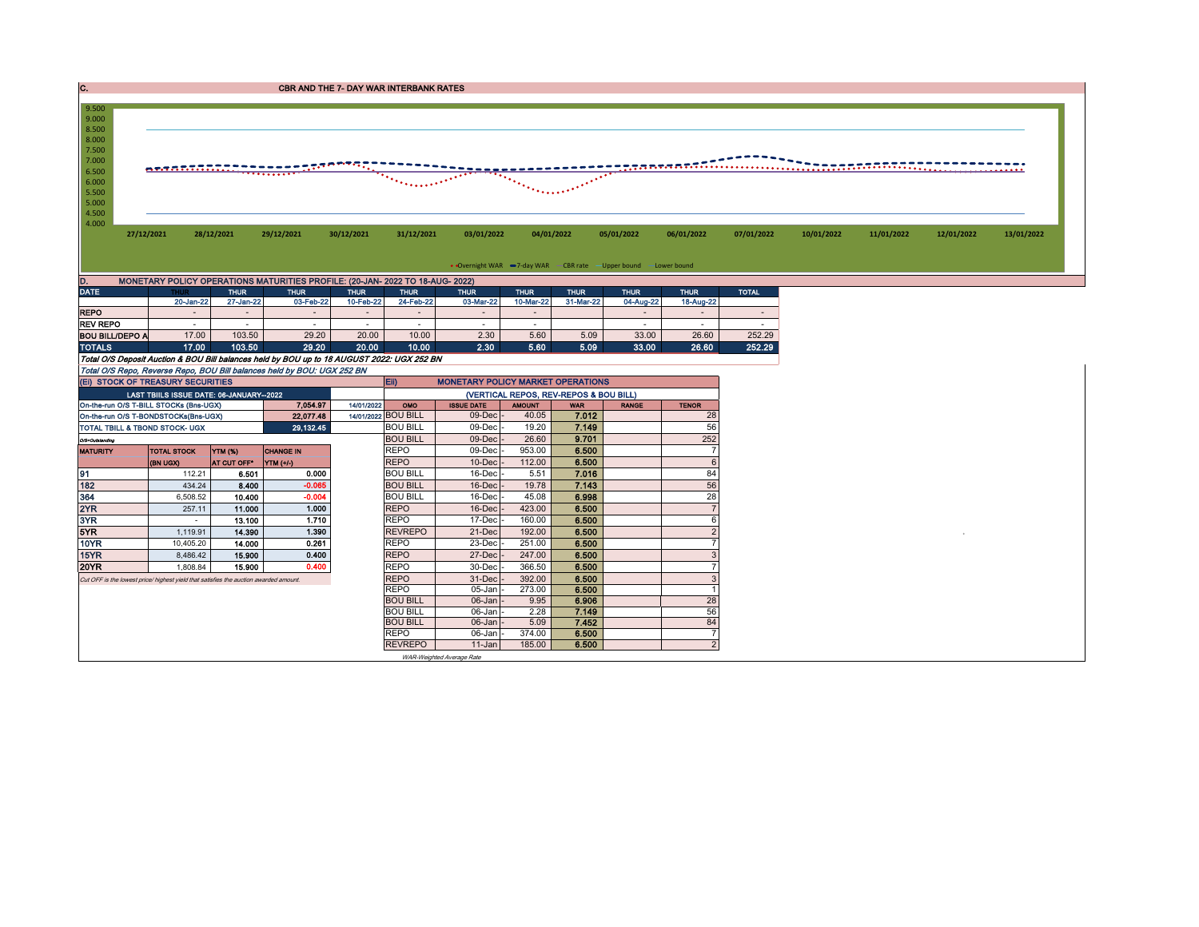**CBR AND THE 7- DAY WAR INTERBANK RATES** 



| <b>DATE</b>            | u u t                    | <b>THUR</b> | <b>THUR</b> | <b>THUR</b> | <b>THUR</b> | <b>THUR</b> | <b>THUR</b> | <b>THUR</b> | <b>THUR</b> | <b>THUR</b> | <b>TOTAL</b> |
|------------------------|--------------------------|-------------|-------------|-------------|-------------|-------------|-------------|-------------|-------------|-------------|--------------|
|                        | 20-Jan-22                | 27-Jan-22   | 03-Feb-22   | 10-Feb-22   | 24-Feb-22   | 03-Mar-22   | 10-Mar-22   | 31-Mar-22   | 04-Aug-22   | 18-Aug-22   |              |
| <b>REPO</b>            | $\overline{\phantom{a}}$ |             |             |             | $\sim$      |             |             |             |             |             |              |
| <b>REV REPO</b>        |                          |             |             |             |             |             |             |             |             |             |              |
| <b>BOU BILL/DEPO A</b> | 17.00                    | 103.50      | 29.20       | 20.00       | 10.00       | 2.30        | 5.60        | 5.09        | 33.00       | 26.60       | 252.29       |
| <b>TOTALS</b>          | 17.00                    | 103.50      | 29.20       | 20.00       | 10.00       | 2.30        | 5.60        | 5.09        | 33.00       | 26.60       | 252.29       |

Total O/S Deposit Auction & BOU Bill balances held by BOU up to 18 AUGUST 2022: UGX 252 BN

Total O/S Repo, Reverse Repo, BOU Bill balances held by BOU: UGX 252 BN

|                                                                | (EI) STOCK OF TREASURY SECURITIES                                                     |                 |                     |                     | Eii)<br><b>MONETARY POLICY MARKET OPERATIONS</b> |                                        |               |            |              |                |  |  |  |  |
|----------------------------------------------------------------|---------------------------------------------------------------------------------------|-----------------|---------------------|---------------------|--------------------------------------------------|----------------------------------------|---------------|------------|--------------|----------------|--|--|--|--|
|                                                                | LAST TBIILS ISSUE DATE: 06-JANUARY-2022                                               |                 |                     |                     |                                                  | (VERTICAL REPOS, REV-REPOS & BOU BILL) |               |            |              |                |  |  |  |  |
|                                                                | On-the-run O/S T-BILL STOCKs (Bns-UGX)                                                |                 | 7.054.97            | 14/01/2022          | OMO                                              | <b>ISSUE DATE</b>                      | <b>AMOUNT</b> | <b>WAR</b> | <b>RANGE</b> | <b>TENOR</b>   |  |  |  |  |
|                                                                | On-the-run O/S T-BONDSTOCKs(Bns-UGX)                                                  |                 | 22,077.48           |                     | 14/01/2022 BOU BILL                              | $09$ -Dec                              | 40.05         | 7.012      |              | 28             |  |  |  |  |
| <b>BOU BILL</b><br>29,132.45<br>TOTAL TBILL & TBOND STOCK- UGX |                                                                                       |                 |                     |                     |                                                  | 09-Dec                                 | 19.20         | 7.149      |              | 56             |  |  |  |  |
| O/S=Outstanding                                                |                                                                                       | <b>BOU BILL</b> | 09-Dec              | 26.60               | 9.701                                            |                                        | 252           |            |              |                |  |  |  |  |
| <b>YTM (%)</b><br><b>TOTAL STOCK</b><br><b>MATURITY</b>        |                                                                                       |                 | <b>CHANGE IN</b>    |                     | <b>REPO</b>                                      | 09-Decl                                | 953.00        | 6.500      |              |                |  |  |  |  |
|                                                                | (BN UGX)                                                                              | AT CUT OFF*     | YTM (+/-)           |                     | <b>REPO</b>                                      | 10-Dec                                 | 112.00        | 6.500      |              | 6              |  |  |  |  |
| 91                                                             | 112.21                                                                                | 6.501           | 0.000               |                     | <b>BOU BILL</b>                                  | 16-Decl                                | 5.51          | 7.016      |              | 84             |  |  |  |  |
| 182                                                            | 434.24                                                                                | 8.400           | $-0.065$            |                     | <b>BOU BILL</b>                                  | 16-Decl                                | 19.78         | 7.143      |              | 56             |  |  |  |  |
| 364                                                            | 6,508.52                                                                              | 10,400          | $-0.004$            |                     | <b>BOU BILL</b>                                  | 16-Dec                                 | 45.08         | 6.998      |              | 28             |  |  |  |  |
| 2YR                                                            | 257.11                                                                                | 11.000          | 1.000               |                     | <b>REPO</b>                                      | 16-Dec                                 | 423.00        | 6.500      |              |                |  |  |  |  |
| 3YR                                                            |                                                                                       | 13.100          | 1.710               |                     | <b>REPO</b>                                      | $17$ -Dec                              | 160.00        | 6.500      |              | 6              |  |  |  |  |
| 5YR                                                            | 1.119.91                                                                              | 14.390          | 1.390               |                     | <b>REVREPO</b>                                   | 21-Dec                                 | 192.00        | 6.500      |              |                |  |  |  |  |
| 10YR                                                           | 10,405.20                                                                             | 14.000          | 0.261               |                     | <b>REPO</b>                                      | 23-Dec                                 | 251.00        | 6.500      |              |                |  |  |  |  |
| 15YR                                                           | 8,486.42                                                                              | 15.900          | 0.400               |                     | <b>REPO</b>                                      | 27-Dec                                 | 247.00        | 6.500      |              | 3              |  |  |  |  |
| 20YR                                                           | 1.808.84                                                                              | 15.900          | 0.400               |                     | <b>REPO</b>                                      | 30-Decl                                | 366.50        | 6.500      |              |                |  |  |  |  |
|                                                                | Cut OFF is the lowest price/ highest yield that satisfies the auction awarded amount. |                 |                     |                     | <b>REPO</b>                                      | 31-Dec                                 | 392.00        | 6.500      |              | 3              |  |  |  |  |
| <b>REPO</b>                                                    |                                                                                       |                 |                     |                     |                                                  | $05 - Jan$                             | 273.00        | 6.500      |              |                |  |  |  |  |
|                                                                |                                                                                       |                 |                     |                     | <b>BOU BILL</b>                                  | $06$ -Jan                              | 9.95          | 6.906      |              | 28             |  |  |  |  |
|                                                                |                                                                                       |                 | <b>BOU BILL</b>     | $06$ -Jan $\vert$ - | 2.28                                             | 7.149                                  |               | 56         |              |                |  |  |  |  |
|                                                                |                                                                                       | <b>BOU BILL</b> | $06$ -Jan $\vert$ - | 5.09                | 7.452                                            |                                        | 84            |            |              |                |  |  |  |  |
|                                                                |                                                                                       | <b>REPO</b>     | 06-Jan              | 374.00              | 6.500                                            |                                        |               |            |              |                |  |  |  |  |
|                                                                |                                                                                       |                 |                     |                     | <b>REVREPO</b>                                   | $11 - Jan$                             | 185.00        | 6.500      |              | $\overline{2}$ |  |  |  |  |
|                                                                |                                                                                       |                 |                     |                     |                                                  | WAR-Weighted Average Rate              |               |            |              |                |  |  |  |  |